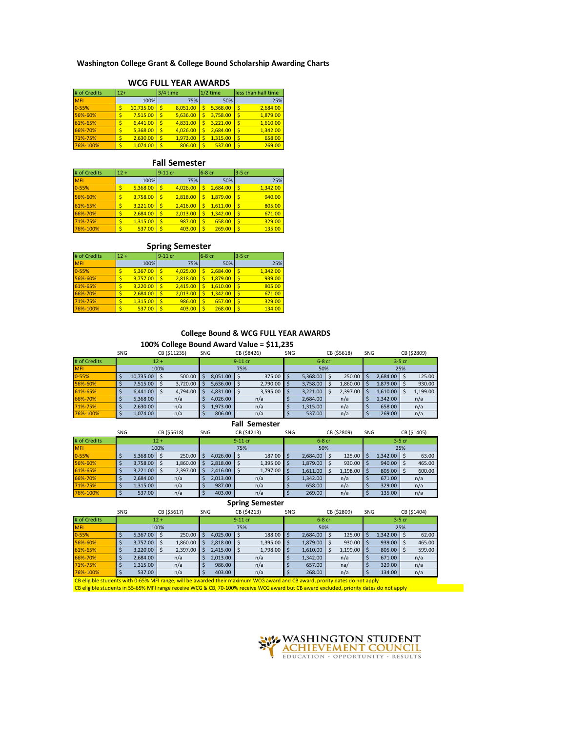## **Washington College Grant & College Bound Scholarship Awarding Charts**

| # of Credits | $12+$ |           |  | 3/4 time |    | $1/2$ time | less than half time |          |  |  |  |  |  |  |
|--------------|-------|-----------|--|----------|----|------------|---------------------|----------|--|--|--|--|--|--|
| <b>MFI</b>   |       | 100%      |  | 75%      |    | 50%        |                     | 25%      |  |  |  |  |  |  |
| $0 - 55%$    |       | 10.735.00 |  | 8.051.00 | Ś  | 5.368.00   | S                   | 2.684.00 |  |  |  |  |  |  |
| 56%-60%      |       | 7.515.00  |  | 5.636.00 |    | 3.758.00   | \$                  | 1.879.00 |  |  |  |  |  |  |
| 61%-65%      |       | 6.441.00  |  | 4.831.00 | Ś  | 3.221.00   | \$                  | 1.610.00 |  |  |  |  |  |  |
| 66%-70%      |       | 5.368.00  |  | 4.026.00 |    | 2.684.00   | \$                  | 1.342.00 |  |  |  |  |  |  |
| 71%-75%      |       | 2,630.00  |  | 1.973.00 | Ś  | 1.315.00   | \$                  | 658.00   |  |  |  |  |  |  |
| 76%-100%     |       | 1.074.00  |  | 806.00   | 'S | 537.00     | Ś                   | 269.00   |  |  |  |  |  |  |

# **WCG FULL YEAR AWARDS**

### **Fall Semester**

| # of Credits | $12 +$ |          | $9-11$ cr |          | 6-8 cr |          | $3-5$ cr |          |
|--------------|--------|----------|-----------|----------|--------|----------|----------|----------|
| <b>MFI</b>   |        | 100%     |           | 75%      |        | 50%      |          | 25%      |
| $0 - 55%$    |        | 5.368.00 | Ś         | 4.026.00 | Ś      | 2.684.00 | Ŝ        | 1.342.00 |
| 56%-60%      |        | 3.758.00 | \$        | 2.818.00 | Ś      | 1.879.00 | '\$      | 940.00   |
| 61%-65%      |        | 3.221.00 | Ś         | 2.416.00 | Ś      | 1,611.00 | '\$      | 805.00   |
| 66%-70%      |        | 2.684.00 | Ś         | 2.013.00 | \$     | 1.342.00 | IS.      | 671.00   |
| 71%-75%      |        | 1.315.00 | \$        | 987.00   | \$     | 658.00   | 'S       | 329.00   |
| 76%-100%     |        | 537.00   |           | 403.00   | Ś      | 269.00   | 'S       | 135.00   |

## **Spring Semester**

| # of Credits | $12 +$ |          | 9-11 cr |          | 6-8 cr |          | 3-5 cr |          |
|--------------|--------|----------|---------|----------|--------|----------|--------|----------|
| <b>MFI</b>   |        | 100%     |         | 75%      |        | 50%      |        | 25%      |
| $0 - 55%$    |        | 5.367.00 |         | 4.025.00 |        | 2.684.00 | '\$    | 1.342.00 |
| 56%-60%      |        | 3.757.00 |         | 2.818.00 |        | 1.879.00 | \$     | 939.00   |
| 61%-65%      |        | 3.220.00 |         | 2.415.00 |        | 1.610.00 | \$     | 805.00   |
| 66%-70%      |        | 2.684.00 |         | 2.013.00 |        | 1.342.00 | '\$    | 671.00   |
| 71%-75%      |        | 1.315.00 |         | 986.00   | Ś      | 657.00   | \$     | 329.00   |
| 76%-100%     |        | 537.00   |         | 403.00   |        | 268.00   | 'S     | 134.00   |

### **College Bound & WCG FULL YEAR AWARDS**

## **100% College Bound Award Value = \$11,235**

|              | SNG    |           |  | CB (\$11235) | SNG |          | CB (\$8426) |          | SNG |          |     | CB (\$5618) | SNG      |          |  | CB (\$2809) |
|--------------|--------|-----------|--|--------------|-----|----------|-------------|----------|-----|----------|-----|-------------|----------|----------|--|-------------|
| # of Credits | $12 +$ |           |  | $9-11$ cr    |     |          |             | $6-8$ cr |     |          |     |             | $3-5$ cr |          |  |             |
| <b>MFI</b>   | 100%   |           |  | 75%          |     |          |             |          | 50% |          | 25% |             |          |          |  |             |
| $0 - 55%$    |        | 10.735.00 |  | 500.00       | S   | 8.051.00 |             | 375.00   |     | 5.368.00 |     | $250.00$ S  |          | 2.684.00 |  | 125.00      |
| 56%-60%      |        | 7.515.00  |  | 3.720.00     | s   | 5.636.00 |             | 2.790.00 |     | 3,758.00 |     | 1.860.00    |          | 1.879.00 |  | 930.00      |
| 61%-65%      |        | 6.441.00  |  | 4.794.00     |     | 4.831.00 |             | 3.595.00 |     | 3,221.00 |     | 2,397.00    |          | 1.610.00 |  | 1.199.00    |
| 66%-70%      |        | 5.368.00  |  | n/a          |     | 4.026.00 |             | n/a      |     | 2.684.00 |     | n/a         |          | 1.342.00 |  | n/a         |
| 71%-75%      |        | 2.630.00  |  | n/a          |     | 1.973.00 |             | n/a      |     | 1.315.00 |     | n/a         |          | 658.00   |  | n/a         |
| 76%-100%     |        | 1.074.00  |  | n/a          |     | 806.00   |             | n/a      |     | 537.00   |     | n/a         |          | 269.00   |  | n/a         |

#### **Fall Semester**

|            |              | SNG    |          |  | CB (\$5618) | SNG     |          | CB (\$4213) |          | SNG      |                 |  | CB (\$2809)   | SNG      |          |  | CB (\$1405) |
|------------|--------------|--------|----------|--|-------------|---------|----------|-------------|----------|----------|-----------------|--|---------------|----------|----------|--|-------------|
|            | # of Credits | $12 +$ |          |  |             | 9-11 cr |          |             |          | $6-8$ cr |                 |  |               | $3-5$ cr |          |  |             |
| <b>MFI</b> |              | 100%   |          |  |             |         |          |             | 50%      |          |                 |  | 25%           |          |          |  |             |
| $0 - 55%$  |              |        | 5.368.00 |  | 250.00      | S       | 4.026.00 |             | 187.00   | -S       | $2.684.00$ \ \$ |  | $125.00$ \$   |          | 1.342.00 |  | 63.00       |
|            | 56%-60%      |        | 3,758.00 |  | 1,860.00    |         | 2.818.00 |             | 1,395.00 | -S       | $1,879.00$ \$   |  | $930.00$ \$   |          | 940.00   |  | 465.00      |
|            | 61%-65%      |        | 3,221.00 |  | 2,397.00    | s       | 2.416.00 |             | 1,797.00 | -S       | 1,611.00        |  | $1,198.00$ \$ |          | 805.00   |  | 600.00      |
|            | 66%-70%      |        | 2.684.00 |  | n/a         |         | 2.013.00 |             | n/a      |          | 1.342.00        |  | n/a           |          | 671.00   |  | n/a         |
|            | 71%-75%      |        | 1.315.00 |  | n/a         |         | 987.00   |             | n/a      |          | 658.00          |  | n/a           |          | 329.00   |  | n/a         |
|            | 76%-100%     |        | 537.00   |  | n/a         |         | 403.00   |             | n/a      |          | 269.00          |  | n/a           |          | 135.00   |  | n/a         |

## **Spring Semester**

|              | SNG    |          |  | CB (\$5617) | SNG |           | CB (\$4213) |          | SNG |          |  | CB (\$2809) | SNG |               |  | CB (\$1404) |  |
|--------------|--------|----------|--|-------------|-----|-----------|-------------|----------|-----|----------|--|-------------|-----|---------------|--|-------------|--|
| # of Credits | $12 +$ |          |  |             |     | $9-11$ cr |             |          |     | $6-8$ cr |  | $3-5$ cr    |     |               |  |             |  |
| <b>MFI</b>   | 100%   |          |  |             |     |           | 75%         |          | 50% |          |  |             |     | 25%           |  |             |  |
| $0 - 55%$    |        | 5.367.00 |  | 250.00      | S   | 4.025.00  |             | 188.00   | -S  | 2.684.00 |  | 125.00      | -S  | $1,342.00$ \$ |  | 62.00       |  |
| 56%-60%      |        | 3.757.00 |  | 1,860.00    |     | 2.818.00  |             | 1,395.00 |     | 1,879.00 |  | $930.00$ \$ |     | $939.00$ \$   |  | 465.00      |  |
| 61%-65%      |        | 3.220.00 |  | 2,397.00    |     | 2.415.00  |             | 1.798.00 |     | 1.610.00 |  | 1,199.00    | -S  | $805.00$ \$   |  | 599.00      |  |
| 66%-70%      |        | 2.684.00 |  | n/a         |     | 2.013.00  |             | n/a      |     | 1.342.00 |  | n/a         |     | 671.00        |  | n/a         |  |
| 71%-75%      |        | 1.315.00 |  | n/a         |     | 986.00    |             | n/a      |     | 657.00   |  | na/         |     | 329.00        |  | n/a         |  |
| 76%-100%     |        | 537.00   |  | n/a         |     | 403.00    |             | n/a      |     | 268.00   |  | n/a         |     | 134.00        |  | n/a         |  |

CB eligible students with 0-65% MFI range, will be awarded their maximum WCG award and CB award, prority dates do not apply

CB eligible students in 55-65% MFI range receive WCG & CB, 70-100% receive WCG award but CB award excluded, priority dates do not apply